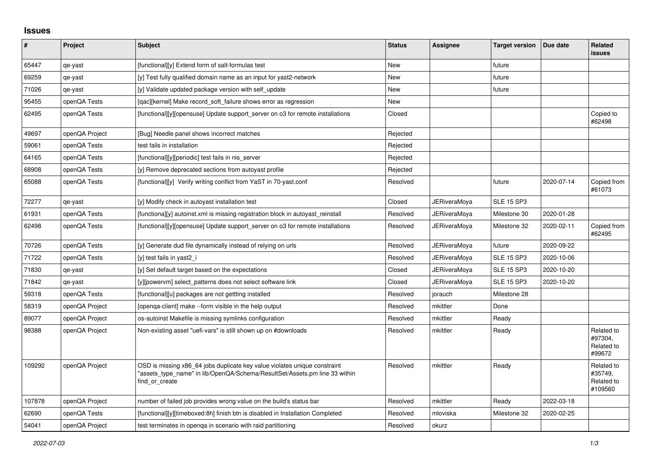## **Issues**

| #      | Project        | Subject                                                                                                                                                                   | <b>Status</b> | Assignee            | <b>Target version</b> | Due date   | Related<br><b>issues</b>                       |
|--------|----------------|---------------------------------------------------------------------------------------------------------------------------------------------------------------------------|---------------|---------------------|-----------------------|------------|------------------------------------------------|
| 65447  | qe-yast        | [functional][y] Extend form of salt-formulas test                                                                                                                         | <b>New</b>    |                     | future                |            |                                                |
| 69259  | qe-yast        | [y] Test fully qualified domain name as an input for yast2-network                                                                                                        | New           |                     | future                |            |                                                |
| 71026  | qe-yast        | [y] Validate updated package version with self update                                                                                                                     | <b>New</b>    |                     | future                |            |                                                |
| 95455  | openQA Tests   | [gac][kernel] Make record soft failure shows error as regression                                                                                                          | <b>New</b>    |                     |                       |            |                                                |
| 62495  | openQA Tests   | [functional][y][opensuse] Update support_server on o3 for remote installations                                                                                            | Closed        |                     |                       |            | Copied to<br>#62498                            |
| 49697  | openQA Project | [Bug] Needle panel shows incorrect matches                                                                                                                                | Rejected      |                     |                       |            |                                                |
| 59061  | openQA Tests   | test fails in installation                                                                                                                                                | Rejected      |                     |                       |            |                                                |
| 64165  | openQA Tests   | [functional][y][periodic] test fails in nis_server                                                                                                                        | Rejected      |                     |                       |            |                                                |
| 68908  | openQA Tests   | [y] Remove deprecated sections from autoyast profile                                                                                                                      | Rejected      |                     |                       |            |                                                |
| 65088  | openQA Tests   | [functional][y] Verify writing conflict from YaST in 70-yast.conf                                                                                                         | Resolved      |                     | future                | 2020-07-14 | Copied from<br>#61073                          |
| 72277  | qe-yast        | [y] Modify check in autoyast installation test                                                                                                                            | Closed        | <b>JERiveraMoya</b> | <b>SLE 15 SP3</b>     |            |                                                |
| 61931  | openQA Tests   | [functiona][y] autoinst.xml is missing registration block in autoyast reinstall                                                                                           | Resolved      | JERiveraMoya        | Milestone 30          | 2020-01-28 |                                                |
| 62498  | openQA Tests   | [functional][y][opensuse] Update support_server on o3 for remote installations                                                                                            | Resolved      | <b>JERiveraMova</b> | Milestone 32          | 2020-02-11 | Copied from<br>#62495                          |
| 70726  | openQA Tests   | [y] Generate dud file dynamically instead of relying on urls                                                                                                              | Resolved      | <b>JERiveraMoya</b> | future                | 2020-09-22 |                                                |
| 71722  | openQA Tests   | [y] test fails in yast2 i                                                                                                                                                 | Resolved      | <b>JERiveraMoya</b> | <b>SLE 15 SP3</b>     | 2020-10-06 |                                                |
| 71830  | qe-yast        | [y] Set default target based on the expectations                                                                                                                          | Closed        | <b>JERiveraMoya</b> | <b>SLE 15 SP3</b>     | 2020-10-20 |                                                |
| 71842  | qe-yast        | [y][powervm] select_patterns does not select software link                                                                                                                | Closed        | <b>JERiveraMoya</b> | <b>SLE 15 SP3</b>     | 2020-10-20 |                                                |
| 59318  | openQA Tests   | [functional][u] packages are not gettting installed                                                                                                                       | Resolved      | jorauch             | Milestone 28          |            |                                                |
| 58319  | openQA Project | [openga-client] make --form visible in the help output                                                                                                                    | Resolved      | mkittler            | Done                  |            |                                                |
| 89077  | openQA Project | os-autoinst Makefile is missing symlinks configuration                                                                                                                    | Resolved      | mkittler            | Ready                 |            |                                                |
| 98388  | openQA Project | Non-existing asset "uefi-vars" is still shown up on #downloads                                                                                                            | Resolved      | mkittler            | Ready                 |            | Related to<br>#97304,<br>Related to<br>#99672  |
| 109292 | openQA Project | OSD is missing x86_64 jobs duplicate key value violates unique constraint<br>"assets type name" in lib/OpenQA/Schema/ResultSet/Assets.pm line 33 within<br>find or create | Resolved      | mkittler            | Ready                 |            | Related to<br>#35749,<br>Related to<br>#109560 |
| 107878 | openQA Project | number of failed job provides wrong value on the build's status bar                                                                                                       | Resolved      | mkittler            | Ready                 | 2022-03-18 |                                                |
| 62690  | openQA Tests   | [functional][y][timeboxed:8h] finish btn is disabled in Installation Completed                                                                                            | Resolved      | mloviska            | Milestone 32          | 2020-02-25 |                                                |
| 54041  | openQA Project | test terminates in openga in scenario with raid partitioning                                                                                                              | Resolved      | okurz               |                       |            |                                                |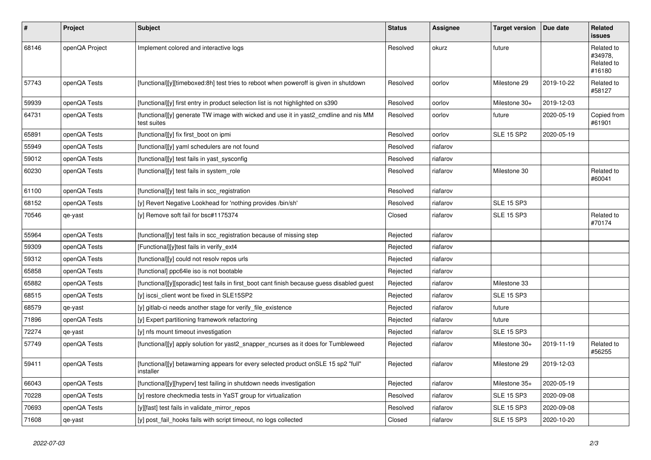| ∦     | <b>Project</b> | <b>Subject</b>                                                                                      | <b>Status</b> | Assignee | <b>Target version</b> | Due date   | Related<br><b>issues</b>                      |
|-------|----------------|-----------------------------------------------------------------------------------------------------|---------------|----------|-----------------------|------------|-----------------------------------------------|
| 68146 | openQA Project | Implement colored and interactive logs                                                              | Resolved      | okurz    | future                |            | Related to<br>#34978,<br>Related to<br>#16180 |
| 57743 | openQA Tests   | [functional][y][timeboxed:8h] test tries to reboot when poweroff is given in shutdown               | Resolved      | oorlov   | Milestone 29          | 2019-10-22 | Related to<br>#58127                          |
| 59939 | openQA Tests   | [functional][y] first entry in product selection list is not highlighted on s390                    | Resolved      | oorlov   | Milestone 30+         | 2019-12-03 |                                               |
| 64731 | openQA Tests   | [functional][y] generate TW image with wicked and use it in yast2 cmdline and nis MM<br>test suites | Resolved      | oorlov   | future                | 2020-05-19 | Copied from<br>#61901                         |
| 65891 | openQA Tests   | [functional][y] fix first_boot on ipmi                                                              | Resolved      | oorlov   | <b>SLE 15 SP2</b>     | 2020-05-19 |                                               |
| 55949 | openQA Tests   | [functional][y] yaml schedulers are not found                                                       | Resolved      | riafarov |                       |            |                                               |
| 59012 | openQA Tests   | [functional][y] test fails in yast sysconfig                                                        | Resolved      | riafarov |                       |            |                                               |
| 60230 | openQA Tests   | [functional][y] test fails in system role                                                           | Resolved      | riafarov | Milestone 30          |            | Related to<br>#60041                          |
| 61100 | openQA Tests   | [functional][y] test fails in scc_registration                                                      | Resolved      | riafarov |                       |            |                                               |
| 68152 | openQA Tests   | [y] Revert Negative Lookhead for 'nothing provides /bin/sh'                                         | Resolved      | riafarov | <b>SLE 15 SP3</b>     |            |                                               |
| 70546 | qe-yast        | [y] Remove soft fail for bsc#1175374                                                                | Closed        | riafarov | <b>SLE 15 SP3</b>     |            | Related to<br>#70174                          |
| 55964 | openQA Tests   | [functional][y] test fails in scc_registration because of missing step                              | Rejected      | riafarov |                       |            |                                               |
| 59309 | openQA Tests   | [Functional][y]test fails in verify_ext4                                                            | Rejected      | riafarov |                       |            |                                               |
| 59312 | openQA Tests   | [functional][y] could not resoly repos urls                                                         | Rejected      | riafarov |                       |            |                                               |
| 65858 | openQA Tests   | [functional] ppc64le iso is not bootable                                                            | Rejected      | riafarov |                       |            |                                               |
| 65882 | openQA Tests   | [functional][y][sporadic] test fails in first boot cant finish because guess disabled guest         | Rejected      | riafarov | Milestone 33          |            |                                               |
| 68515 | openQA Tests   | [y] iscsi_client wont be fixed in SLE15SP2                                                          | Rejected      | riafarov | <b>SLE 15 SP3</b>     |            |                                               |
| 68579 | qe-yast        | [y] gitlab-ci needs another stage for verify_file_existence                                         | Rejected      | riafarov | future                |            |                                               |
| 71896 | openQA Tests   | [y] Expert partitioning framework refactoring                                                       | Rejected      | riafarov | future                |            |                                               |
| 72274 | qe-yast        | [y] nfs mount timeout investigation                                                                 | Rejected      | riafarov | <b>SLE 15 SP3</b>     |            |                                               |
| 57749 | openQA Tests   | [functional][y] apply solution for yast2_snapper_ncurses as it does for Tumbleweed                  | Rejected      | riafarov | Milestone 30+         | 2019-11-19 | Related to<br>#56255                          |
| 59411 | openQA Tests   | [functional][y] betawarning appears for every selected product onSLE 15 sp2 "full"<br>installer     | Rejected      | riafarov | Milestone 29          | 2019-12-03 |                                               |
| 66043 | openQA Tests   | [functional][y][hyperv] test failing in shutdown needs investigation                                | Rejected      | riafarov | Milestone 35+         | 2020-05-19 |                                               |
| 70228 | openQA Tests   | [y] restore checkmedia tests in YaST group for virtualization                                       | Resolved      | riafarov | <b>SLE 15 SP3</b>     | 2020-09-08 |                                               |
| 70693 | openQA Tests   | [y][fast] test fails in validate mirror repos                                                       | Resolved      | riafarov | <b>SLE 15 SP3</b>     | 2020-09-08 |                                               |
| 71608 | qe-yast        | [y] post_fail_hooks fails with script timeout, no logs collected                                    | Closed        | riafarov | <b>SLE 15 SP3</b>     | 2020-10-20 |                                               |